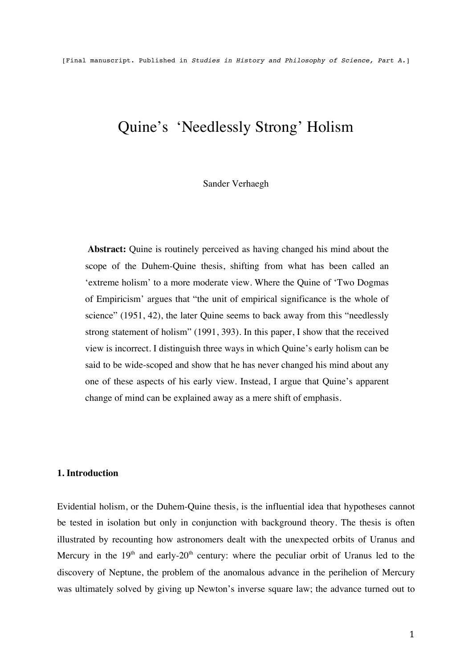# Quine's 'Needlessly Strong' Holism

## Sander Verhaegh

**Abstract:** Quine is routinely perceived as having changed his mind about the scope of the Duhem-Quine thesis, shifting from what has been called an 'extreme holism' to a more moderate view. Where the Quine of 'Two Dogmas of Empiricism' argues that "the unit of empirical significance is the whole of science" (1951, 42), the later Quine seems to back away from this "needlessly strong statement of holism" (1991, 393). In this paper, I show that the received view is incorrect. I distinguish three ways in which Quine's early holism can be said to be wide-scoped and show that he has never changed his mind about any one of these aspects of his early view. Instead, I argue that Quine's apparent change of mind can be explained away as a mere shift of emphasis.

# **1. Introduction**

Evidential holism, or the Duhem-Quine thesis, is the influential idea that hypotheses cannot be tested in isolation but only in conjunction with background theory. The thesis is often illustrated by recounting how astronomers dealt with the unexpected orbits of Uranus and Mercury in the  $19<sup>th</sup>$  and early- $20<sup>th</sup>$  century: where the peculiar orbit of Uranus led to the discovery of Neptune, the problem of the anomalous advance in the perihelion of Mercury was ultimately solved by giving up Newton's inverse square law; the advance turned out to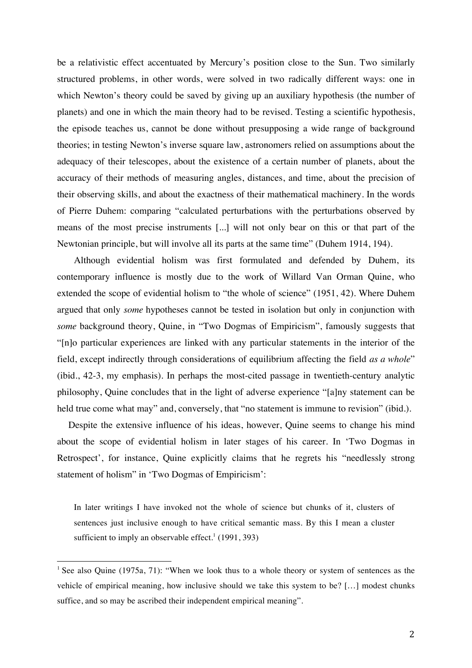be a relativistic effect accentuated by Mercury's position close to the Sun. Two similarly structured problems, in other words, were solved in two radically different ways: one in which Newton's theory could be saved by giving up an auxiliary hypothesis (the number of planets) and one in which the main theory had to be revised. Testing a scientific hypothesis, the episode teaches us, cannot be done without presupposing a wide range of background theories; in testing Newton's inverse square law, astronomers relied on assumptions about the adequacy of their telescopes, about the existence of a certain number of planets, about the accuracy of their methods of measuring angles, distances, and time, about the precision of their observing skills, and about the exactness of their mathematical machinery. In the words of Pierre Duhem: comparing "calculated perturbations with the perturbations observed by means of the most precise instruments [...] will not only bear on this or that part of the Newtonian principle, but will involve all its parts at the same time" (Duhem 1914, 194).

Although evidential holism was first formulated and defended by Duhem, its contemporary influence is mostly due to the work of Willard Van Orman Quine, who extended the scope of evidential holism to "the whole of science" (1951, 42). Where Duhem argued that only *some* hypotheses cannot be tested in isolation but only in conjunction with *some* background theory, Quine, in "Two Dogmas of Empiricism", famously suggests that "[n]o particular experiences are linked with any particular statements in the interior of the field, except indirectly through considerations of equilibrium affecting the field *as a whole*" (ibid., 42-3, my emphasis). In perhaps the most-cited passage in twentieth-century analytic philosophy, Quine concludes that in the light of adverse experience "[a]ny statement can be held true come what may" and, conversely, that "no statement is immune to revision" (ibid.).

Despite the extensive influence of his ideas, however, Quine seems to change his mind about the scope of evidential holism in later stages of his career. In 'Two Dogmas in Retrospect', for instance, Quine explicitly claims that he regrets his "needlessly strong statement of holism" in 'Two Dogmas of Empiricism':

In later writings I have invoked not the whole of science but chunks of it, clusters of sentences just inclusive enough to have critical semantic mass. By this I mean a cluster sufficient to imply an observable effect.<sup>1</sup> (1991, 393)

<sup>&</sup>lt;sup>1</sup> See also Quine (1975a, 71): "When we look thus to a whole theory or system of sentences as the vehicle of empirical meaning, how inclusive should we take this system to be? […] modest chunks suffice, and so may be ascribed their independent empirical meaning".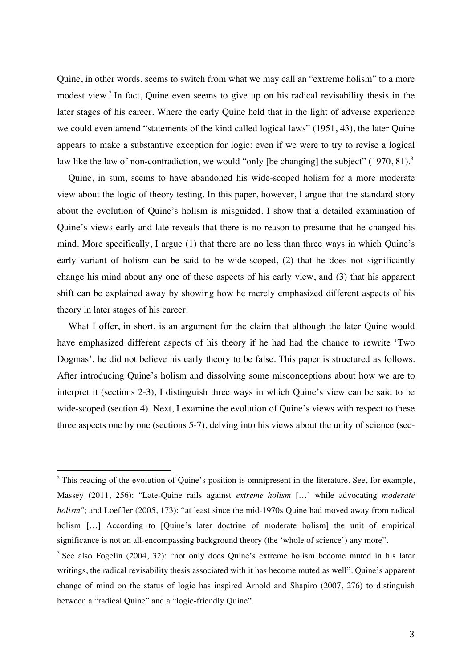Quine, in other words, seems to switch from what we may call an "extreme holism" to a more modest view. <sup>2</sup> In fact, Quine even seems to give up on his radical revisability thesis in the later stages of his career. Where the early Quine held that in the light of adverse experience we could even amend "statements of the kind called logical laws" (1951, 43), the later Quine appears to make a substantive exception for logic: even if we were to try to revise a logical law like the law of non-contradiction, we would "only [be changing] the subject"  $(1970, 81)$ .<sup>3</sup>

Quine, in sum, seems to have abandoned his wide-scoped holism for a more moderate view about the logic of theory testing. In this paper, however, I argue that the standard story about the evolution of Quine's holism is misguided. I show that a detailed examination of Quine's views early and late reveals that there is no reason to presume that he changed his mind. More specifically, I argue (1) that there are no less than three ways in which Quine's early variant of holism can be said to be wide-scoped, (2) that he does not significantly change his mind about any one of these aspects of his early view, and (3) that his apparent shift can be explained away by showing how he merely emphasized different aspects of his theory in later stages of his career.

What I offer, in short, is an argument for the claim that although the later Quine would have emphasized different aspects of his theory if he had had the chance to rewrite 'Two Dogmas', he did not believe his early theory to be false. This paper is structured as follows. After introducing Quine's holism and dissolving some misconceptions about how we are to interpret it (sections 2-3), I distinguish three ways in which Quine's view can be said to be wide-scoped (section 4). Next, I examine the evolution of Quine's views with respect to these three aspects one by one (sections 5-7), delving into his views about the unity of science (sec-

 $2$  This reading of the evolution of Quine's position is omnipresent in the literature. See, for example, Massey (2011, 256): "Late-Quine rails against *extreme holism* […] while advocating *moderate holism*"; and Loeffler (2005, 173): "at least since the mid-1970s Quine had moved away from radical holism [...] According to [Quine's later doctrine of moderate holism] the unit of empirical significance is not an all-encompassing background theory (the 'whole of science') any more".

<sup>&</sup>lt;sup>3</sup> See also Fogelin (2004, 32): "not only does Quine's extreme holism become muted in his later writings, the radical revisability thesis associated with it has become muted as well". Quine's apparent change of mind on the status of logic has inspired Arnold and Shapiro (2007, 276) to distinguish between a "radical Quine" and a "logic-friendly Quine".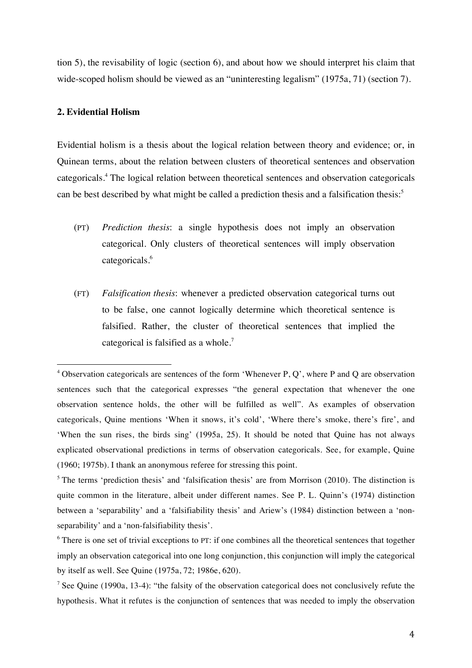tion 5), the revisability of logic (section 6), and about how we should interpret his claim that wide-scoped holism should be viewed as an "uninteresting legalism" (1975a, 71) (section 7).

# **2. Evidential Holism**

 

Evidential holism is a thesis about the logical relation between theory and evidence; or, in Quinean terms, about the relation between clusters of theoretical sentences and observation categoricals.4 The logical relation between theoretical sentences and observation categoricals can be best described by what might be called a prediction thesis and a falsification thesis:<sup>5</sup>

- (PT) *Prediction thesis*: a single hypothesis does not imply an observation categorical. Only clusters of theoretical sentences will imply observation categoricals. 6
- (FT) *Falsification thesis*: whenever a predicted observation categorical turns out to be false, one cannot logically determine which theoretical sentence is falsified. Rather, the cluster of theoretical sentences that implied the categorical is falsified as a whole.<sup>7</sup>

<sup>&</sup>lt;sup>4</sup> Observation categoricals are sentences of the form 'Whenever P, Q', where P and Q are observation sentences such that the categorical expresses "the general expectation that whenever the one observation sentence holds, the other will be fulfilled as well". As examples of observation categoricals, Quine mentions 'When it snows, it's cold', 'Where there's smoke, there's fire', and 'When the sun rises, the birds sing' (1995a, 25). It should be noted that Quine has not always explicated observational predictions in terms of observation categoricals. See, for example, Quine (1960; 1975b). I thank an anonymous referee for stressing this point.

 $5$  The terms 'prediction thesis' and 'falsification thesis' are from Morrison (2010). The distinction is quite common in the literature, albeit under different names. See P. L. Quinn's (1974) distinction between a 'separability' and a 'falsifiability thesis' and Ariew's (1984) distinction between a 'nonseparability' and a 'non-falsifiability thesis'.

<sup>&</sup>lt;sup>6</sup> There is one set of trivial exceptions to PT: if one combines all the theoretical sentences that together imply an observation categorical into one long conjunction, this conjunction will imply the categorical by itself as well. See Quine (1975a, 72; 1986e, 620).

<sup>&</sup>lt;sup>7</sup> See Quine (1990a, 13-4): "the falsity of the observation categorical does not conclusively refute the hypothesis. What it refutes is the conjunction of sentences that was needed to imply the observation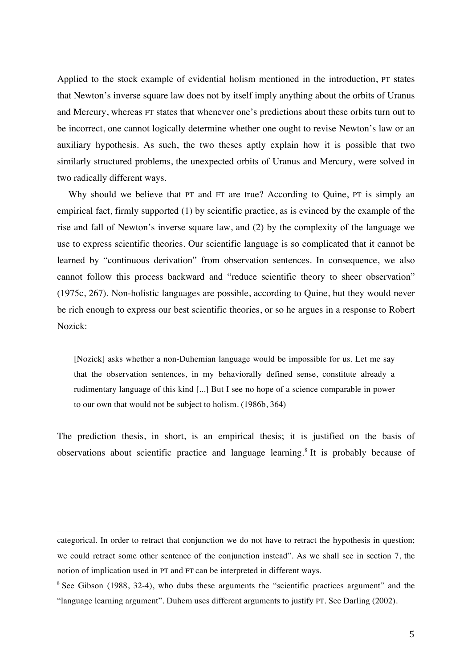Applied to the stock example of evidential holism mentioned in the introduction, PT states that Newton's inverse square law does not by itself imply anything about the orbits of Uranus and Mercury, whereas FT states that whenever one's predictions about these orbits turn out to be incorrect, one cannot logically determine whether one ought to revise Newton's law or an auxiliary hypothesis. As such, the two theses aptly explain how it is possible that two similarly structured problems, the unexpected orbits of Uranus and Mercury, were solved in two radically different ways.

Why should we believe that PT and FT are true? According to Quine, PT is simply an empirical fact, firmly supported (1) by scientific practice, as is evinced by the example of the rise and fall of Newton's inverse square law, and (2) by the complexity of the language we use to express scientific theories. Our scientific language is so complicated that it cannot be learned by "continuous derivation" from observation sentences. In consequence, we also cannot follow this process backward and "reduce scientific theory to sheer observation" (1975c, 267). Non-holistic languages are possible, according to Quine, but they would never be rich enough to express our best scientific theories, or so he argues in a response to Robert Nozick:

[Nozick] asks whether a non-Duhemian language would be impossible for us. Let me say that the observation sentences, in my behaviorally defined sense, constitute already a rudimentary language of this kind [...] But I see no hope of a science comparable in power to our own that would not be subject to holism. (1986b, 364)

The prediction thesis, in short, is an empirical thesis; it is justified on the basis of observations about scientific practice and language learning.<sup>8</sup> It is probably because of

<u> 1989 - Andrea San Andrea San Andrea San Andrea San Andrea San Andrea San Andrea San Andrea San Andrea San An</u>

categorical. In order to retract that conjunction we do not have to retract the hypothesis in question; we could retract some other sentence of the conjunction instead". As we shall see in section 7, the notion of implication used in PT and FT can be interpreted in different ways.

<sup>&</sup>lt;sup>8</sup> See Gibson (1988, 32-4), who dubs these arguments the "scientific practices argument" and the "language learning argument". Duhem uses different arguments to justify PT. See Darling (2002).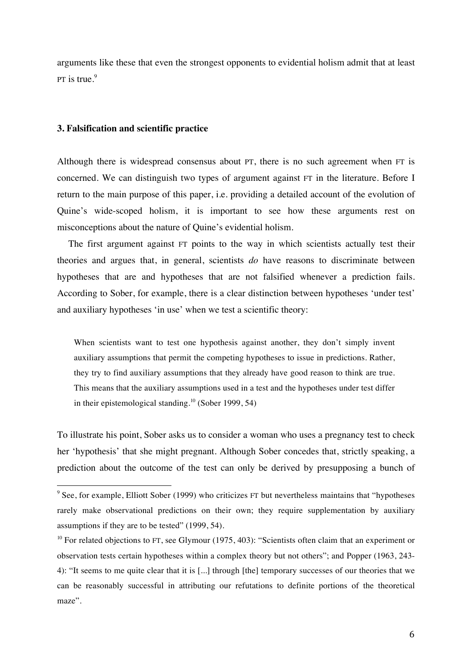arguments like these that even the strongest opponents to evidential holism admit that at least  $PT$  is true.<sup>9</sup>

#### **3. Falsification and scientific practice**

 

Although there is widespread consensus about PT, there is no such agreement when FT is concerned. We can distinguish two types of argument against FT in the literature. Before I return to the main purpose of this paper, i.e. providing a detailed account of the evolution of Quine's wide-scoped holism, it is important to see how these arguments rest on misconceptions about the nature of Quine's evidential holism.

The first argument against FT points to the way in which scientists actually test their theories and argues that, in general, scientists *do* have reasons to discriminate between hypotheses that are and hypotheses that are not falsified whenever a prediction fails. According to Sober, for example, there is a clear distinction between hypotheses 'under test' and auxiliary hypotheses 'in use' when we test a scientific theory:

When scientists want to test one hypothesis against another, they don't simply invent auxiliary assumptions that permit the competing hypotheses to issue in predictions. Rather, they try to find auxiliary assumptions that they already have good reason to think are true. This means that the auxiliary assumptions used in a test and the hypotheses under test differ in their epistemological standing.<sup>10</sup> (Sober 1999, 54)

To illustrate his point, Sober asks us to consider a woman who uses a pregnancy test to check her 'hypothesis' that she might pregnant. Although Sober concedes that, strictly speaking, a prediction about the outcome of the test can only be derived by presupposing a bunch of

<sup>&</sup>lt;sup>9</sup> See, for example, Elliott Sober (1999) who criticizes FT but nevertheless maintains that "hypotheses" rarely make observational predictions on their own; they require supplementation by auxiliary assumptions if they are to be tested" (1999, 54).

<sup>&</sup>lt;sup>10</sup> For related objections to FT, see Glymour (1975, 403): "Scientists often claim that an experiment or observation tests certain hypotheses within a complex theory but not others"; and Popper (1963, 243- 4): "It seems to me quite clear that it is [...] through [the] temporary successes of our theories that we can be reasonably successful in attributing our refutations to definite portions of the theoretical maze".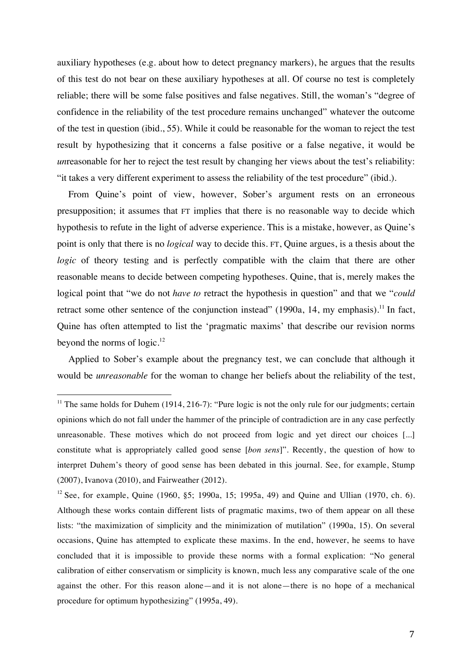auxiliary hypotheses (e.g. about how to detect pregnancy markers), he argues that the results of this test do not bear on these auxiliary hypotheses at all. Of course no test is completely reliable; there will be some false positives and false negatives. Still, the woman's "degree of confidence in the reliability of the test procedure remains unchanged" whatever the outcome of the test in question (ibid., 55). While it could be reasonable for the woman to reject the test result by hypothesizing that it concerns a false positive or a false negative, it would be *unreasonable for her to reject the test result by changing her views about the test's reliability:* "it takes a very different experiment to assess the reliability of the test procedure" (ibid.).

From Quine's point of view, however, Sober's argument rests on an erroneous presupposition; it assumes that FT implies that there is no reasonable way to decide which hypothesis to refute in the light of adverse experience. This is a mistake, however, as Quine's point is only that there is no *logical* way to decide this. FT, Quine argues, is a thesis about the *logic* of theory testing and is perfectly compatible with the claim that there are other reasonable means to decide between competing hypotheses. Quine, that is, merely makes the logical point that "we do not *have to* retract the hypothesis in question" and that we "*could* retract some other sentence of the conjunction instead" (1990a, 14, my emphasis).<sup>11</sup> In fact, Quine has often attempted to list the 'pragmatic maxims' that describe our revision norms beyond the norms of  $logic.<sup>12</sup>$ 

Applied to Sober's example about the pregnancy test, we can conclude that although it would be *unreasonable* for the woman to change her beliefs about the reliability of the test,

<sup>&</sup>lt;sup>11</sup> The same holds for Duhem (1914, 216-7): "Pure logic is not the only rule for our judgments; certain opinions which do not fall under the hammer of the principle of contradiction are in any case perfectly unreasonable. These motives which do not proceed from logic and yet direct our choices [...] constitute what is appropriately called good sense [*bon sens*]". Recently, the question of how to interpret Duhem's theory of good sense has been debated in this journal. See, for example, Stump (2007), Ivanova (2010), and Fairweather (2012).

<sup>&</sup>lt;sup>12</sup> See, for example, Quine (1960, §5; 1990a, 15; 1995a, 49) and Quine and Ullian (1970, ch. 6). Although these works contain different lists of pragmatic maxims, two of them appear on all these lists: "the maximization of simplicity and the minimization of mutilation" (1990a, 15). On several occasions, Quine has attempted to explicate these maxims. In the end, however, he seems to have concluded that it is impossible to provide these norms with a formal explication: "No general calibration of either conservatism or simplicity is known, much less any comparative scale of the one against the other. For this reason alone—and it is not alone—there is no hope of a mechanical procedure for optimum hypothesizing" (1995a, 49).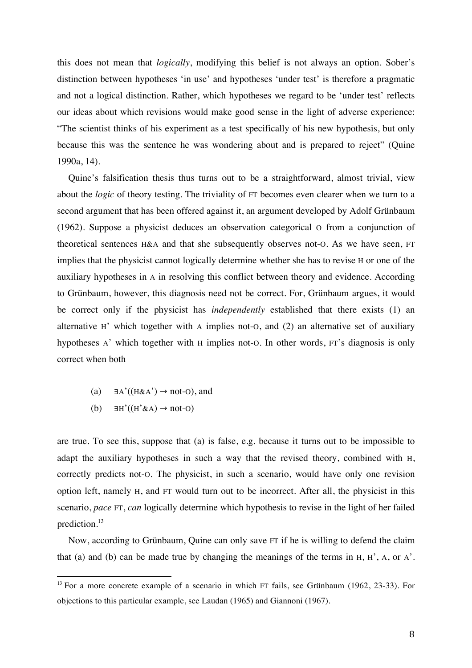this does not mean that *logically*, modifying this belief is not always an option. Sober's distinction between hypotheses 'in use' and hypotheses 'under test' is therefore a pragmatic and not a logical distinction. Rather, which hypotheses we regard to be 'under test' reflects our ideas about which revisions would make good sense in the light of adverse experience: "The scientist thinks of his experiment as a test specifically of his new hypothesis, but only because this was the sentence he was wondering about and is prepared to reject" (Quine 1990a, 14).

Quine's falsification thesis thus turns out to be a straightforward, almost trivial, view about the *logic* of theory testing. The triviality of FT becomes even clearer when we turn to a second argument that has been offered against it, an argument developed by Adolf Grünbaum (1962). Suppose a physicist deduces an observation categorical O from a conjunction of theoretical sentences H&A and that she subsequently observes not-O. As we have seen, FT implies that the physicist cannot logically determine whether she has to revise H or one of the auxiliary hypotheses in A in resolving this conflict between theory and evidence. According to Grünbaum, however, this diagnosis need not be correct. For, Grünbaum argues, it would be correct only if the physicist has *independently* established that there exists (1) an alternative H' which together with A implies not-O, and (2) an alternative set of auxiliary hypotheses A' which together with H implies not-O. In other words, FT's diagnosis is only correct when both

- (a)  $\exists$ A'((H&A')  $\rightarrow$  not-O), and
- (b)  $\exists H'((H' \& A) \rightarrow not-O)$

 

are true. To see this, suppose that (a) is false, e.g. because it turns out to be impossible to adapt the auxiliary hypotheses in such a way that the revised theory, combined with H, correctly predicts not-O. The physicist, in such a scenario, would have only one revision option left, namely H, and FT would turn out to be incorrect. After all, the physicist in this scenario, *pace* FT, *can* logically determine which hypothesis to revise in the light of her failed prediction.<sup>13</sup>

Now, according to Grünbaum, Quine can only save FT if he is willing to defend the claim that (a) and (b) can be made true by changing the meanings of the terms in H, H', A, or A'.

 $13$  For a more concrete example of a scenario in which FT fails, see Grünbaum (1962, 23-33). For objections to this particular example, see Laudan (1965) and Giannoni (1967).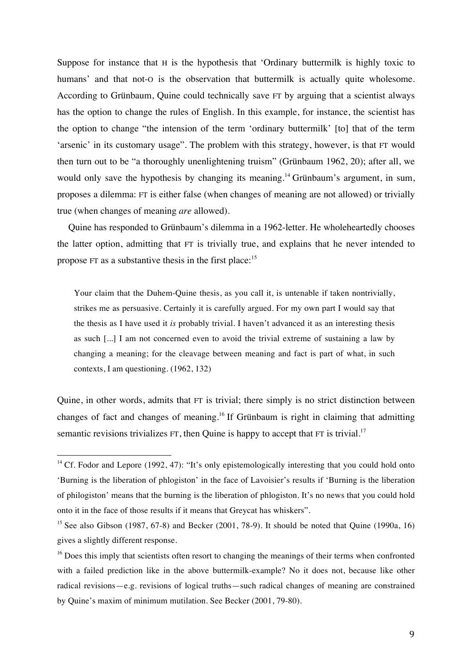Suppose for instance that H is the hypothesis that 'Ordinary buttermilk is highly toxic to humans' and that not-O is the observation that buttermilk is actually quite wholesome. According to Grünbaum, Quine could technically save FT by arguing that a scientist always has the option to change the rules of English. In this example, for instance, the scientist has the option to change "the intension of the term 'ordinary buttermilk' [to] that of the term 'arsenic' in its customary usage". The problem with this strategy, however, is that FT would then turn out to be "a thoroughly unenlightening truism" (Grünbaum 1962, 20); after all, we would only save the hypothesis by changing its meaning.<sup>14</sup> Grünbaum's argument, in sum, proposes a dilemma: FT is either false (when changes of meaning are not allowed) or trivially true (when changes of meaning *are* allowed).

Quine has responded to Grünbaum's dilemma in a 1962-letter. He wholeheartedly chooses the latter option, admitting that FT is trivially true, and explains that he never intended to propose FT as a substantive thesis in the first place:<sup>15</sup>

Your claim that the Duhem-Quine thesis, as you call it, is untenable if taken nontrivially, strikes me as persuasive. Certainly it is carefully argued. For my own part I would say that the thesis as I have used it *is* probably trivial. I haven't advanced it as an interesting thesis as such [...] I am not concerned even to avoid the trivial extreme of sustaining a law by changing a meaning; for the cleavage between meaning and fact is part of what, in such contexts, I am questioning. (1962, 132)

Quine, in other words, admits that FT is trivial; there simply is no strict distinction between changes of fact and changes of meaning.16 If Grünbaum is right in claiming that admitting semantic revisions trivializes FT, then Quine is happy to accept that FT is trivial.<sup>17</sup>

<sup>&</sup>lt;sup>14</sup> Cf. Fodor and Lepore (1992, 47): "It's only epistemologically interesting that you could hold onto 'Burning is the liberation of phlogiston' in the face of Lavoisier's results if 'Burning is the liberation of philogiston' means that the burning is the liberation of phlogiston. It's no news that you could hold onto it in the face of those results if it means that Greycat has whiskers".

<sup>&</sup>lt;sup>15</sup> See also Gibson (1987, 67-8) and Becker (2001, 78-9). It should be noted that Quine (1990a, 16) gives a slightly different response.

<sup>&</sup>lt;sup>16</sup> Does this imply that scientists often resort to changing the meanings of their terms when confronted with a failed prediction like in the above buttermilk-example? No it does not, because like other radical revisions—e.g. revisions of logical truths—such radical changes of meaning are constrained by Quine's maxim of minimum mutilation. See Becker (2001, 79-80).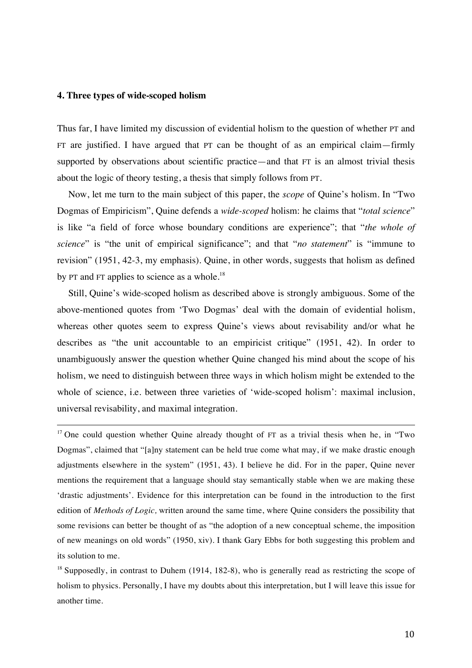### **4. Three types of wide-scoped holism**

Thus far, I have limited my discussion of evidential holism to the question of whether PT and FT are justified. I have argued that PT can be thought of as an empirical claim—firmly supported by observations about scientific practice—and that FT is an almost trivial thesis about the logic of theory testing, a thesis that simply follows from PT.

Now, let me turn to the main subject of this paper, the *scope* of Quine's holism. In "Two Dogmas of Empiricism", Quine defends a *wide-scoped* holism: he claims that "*total science*" is like "a field of force whose boundary conditions are experience"; that "*the whole of science*" is "the unit of empirical significance"; and that "*no statement*" is "immune to revision" (1951, 42-3, my emphasis). Quine, in other words, suggests that holism as defined by PT and FT applies to science as a whole.<sup>18</sup>

Still, Quine's wide-scoped holism as described above is strongly ambiguous. Some of the above-mentioned quotes from 'Two Dogmas' deal with the domain of evidential holism, whereas other quotes seem to express Quine's views about revisability and/or what he describes as "the unit accountable to an empiricist critique" (1951, 42). In order to unambiguously answer the question whether Quine changed his mind about the scope of his holism, we need to distinguish between three ways in which holism might be extended to the whole of science, i.e. between three varieties of 'wide-scoped holism': maximal inclusion, universal revisability, and maximal integration.

 $17$  One could question whether Quine already thought of FT as a trivial thesis when he, in "Two Dogmas", claimed that "[a]ny statement can be held true come what may, if we make drastic enough adjustments elsewhere in the system" (1951, 43). I believe he did. For in the paper, Quine never mentions the requirement that a language should stay semantically stable when we are making these 'drastic adjustments'. Evidence for this interpretation can be found in the introduction to the first edition of *Methods of Logic,* written around the same time, where Quine considers the possibility that some revisions can better be thought of as "the adoption of a new conceptual scheme, the imposition of new meanings on old words" (1950, xiv). I thank Gary Ebbs for both suggesting this problem and its solution to me.

<u> 1989 - Andrea Santa Andrea Andrea Andrea Andrea Andrea Andrea Andrea Andrea Andrea Andrea Andrea Andrea Andr</u>

<sup>18</sup> Supposedly, in contrast to Duhem (1914, 182-8), who is generally read as restricting the scope of holism to physics. Personally, I have my doubts about this interpretation, but I will leave this issue for another time.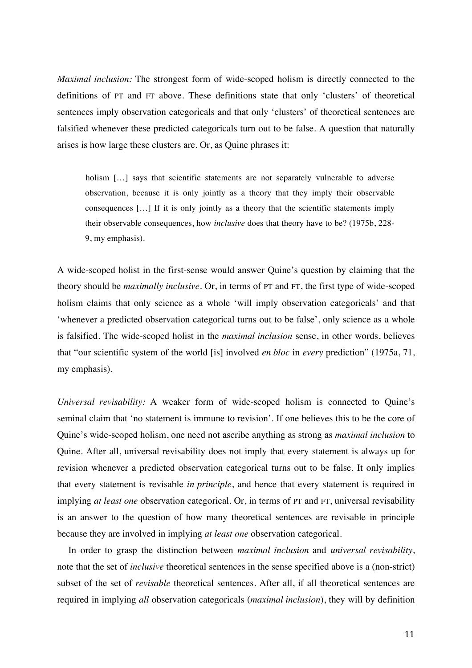*Maximal inclusion:* The strongest form of wide-scoped holism is directly connected to the definitions of PT and FT above. These definitions state that only 'clusters' of theoretical sentences imply observation categoricals and that only 'clusters' of theoretical sentences are falsified whenever these predicted categoricals turn out to be false. A question that naturally arises is how large these clusters are. Or, as Quine phrases it:

holism [...] says that scientific statements are not separately vulnerable to adverse observation, because it is only jointly as a theory that they imply their observable consequences […] If it is only jointly as a theory that the scientific statements imply their observable consequences, how *inclusive* does that theory have to be? (1975b, 228- 9, my emphasis).

A wide-scoped holist in the first-sense would answer Quine's question by claiming that the theory should be *maximally inclusive*. Or, in terms of PT and FT, the first type of wide-scoped holism claims that only science as a whole 'will imply observation categoricals' and that 'whenever a predicted observation categorical turns out to be false', only science as a whole is falsified. The wide-scoped holist in the *maximal inclusion* sense, in other words, believes that "our scientific system of the world [is] involved *en bloc* in *every* prediction" (1975a, 71, my emphasis).

*Universal revisability:* A weaker form of wide-scoped holism is connected to Quine's seminal claim that 'no statement is immune to revision'. If one believes this to be the core of Quine's wide-scoped holism, one need not ascribe anything as strong as *maximal inclusion* to Quine. After all, universal revisability does not imply that every statement is always up for revision whenever a predicted observation categorical turns out to be false. It only implies that every statement is revisable *in principle*, and hence that every statement is required in implying *at least one* observation categorical. Or, in terms of PT and FT, universal revisability is an answer to the question of how many theoretical sentences are revisable in principle because they are involved in implying *at least one* observation categorical.

In order to grasp the distinction between *maximal inclusion* and *universal revisability*, note that the set of *inclusive* theoretical sentences in the sense specified above is a (non-strict) subset of the set of *revisable* theoretical sentences. After all, if all theoretical sentences are required in implying *all* observation categoricals (*maximal inclusion*), they will by definition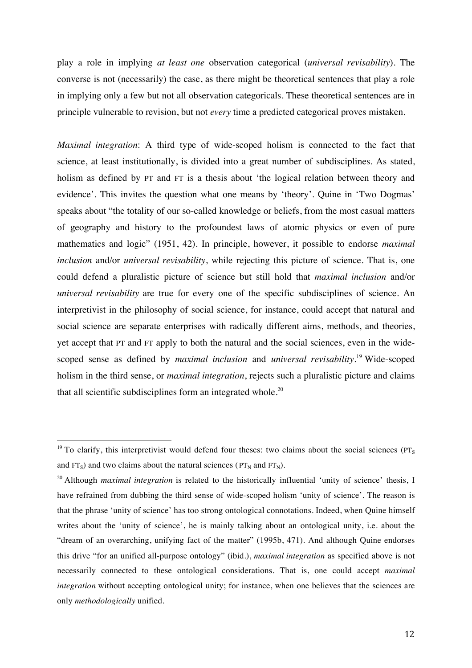play a role in implying *at least one* observation categorical (*universal revisability*). The converse is not (necessarily) the case, as there might be theoretical sentences that play a role in implying only a few but not all observation categoricals. These theoretical sentences are in principle vulnerable to revision, but not *every* time a predicted categorical proves mistaken.

*Maximal integration*: A third type of wide-scoped holism is connected to the fact that science, at least institutionally, is divided into a great number of subdisciplines. As stated, holism as defined by PT and FT is a thesis about 'the logical relation between theory and evidence'. This invites the question what one means by 'theory'. Quine in 'Two Dogmas' speaks about "the totality of our so-called knowledge or beliefs, from the most casual matters of geography and history to the profoundest laws of atomic physics or even of pure mathematics and logic" (1951, 42). In principle, however, it possible to endorse *maximal inclusion* and/or *universal revisability*, while rejecting this picture of science. That is, one could defend a pluralistic picture of science but still hold that *maximal inclusion* and/or *universal revisability* are true for every one of the specific subdisciplines of science. An interpretivist in the philosophy of social science, for instance, could accept that natural and social science are separate enterprises with radically different aims, methods, and theories, yet accept that PT and FT apply to both the natural and the social sciences, even in the widescoped sense as defined by *maximal inclusion* and *universal revisability*. <sup>19</sup> Wide-scoped holism in the third sense, or *maximal integration*, rejects such a pluralistic picture and claims that all scientific subdisciplines form an integrated whole.<sup>20</sup>

<sup>&</sup>lt;sup>19</sup> To clarify, this interpretivist would defend four theses: two claims about the social sciences (PT<sub>S</sub>) and  $FT<sub>S</sub>$ ) and two claims about the natural sciences ( $PT<sub>N</sub>$  and  $FT<sub>N</sub>$ ).

<sup>&</sup>lt;sup>20</sup> Although *maximal integration* is related to the historically influential 'unity of science' thesis, I have refrained from dubbing the third sense of wide-scoped holism 'unity of science'. The reason is that the phrase 'unity of science' has too strong ontological connotations. Indeed, when Quine himself writes about the 'unity of science', he is mainly talking about an ontological unity, i.e. about the "dream of an overarching, unifying fact of the matter" (1995b, 471). And although Quine endorses this drive "for an unified all-purpose ontology" (ibid.), *maximal integration* as specified above is not necessarily connected to these ontological considerations. That is, one could accept *maximal integration* without accepting ontological unity; for instance, when one believes that the sciences are only *methodologically* unified.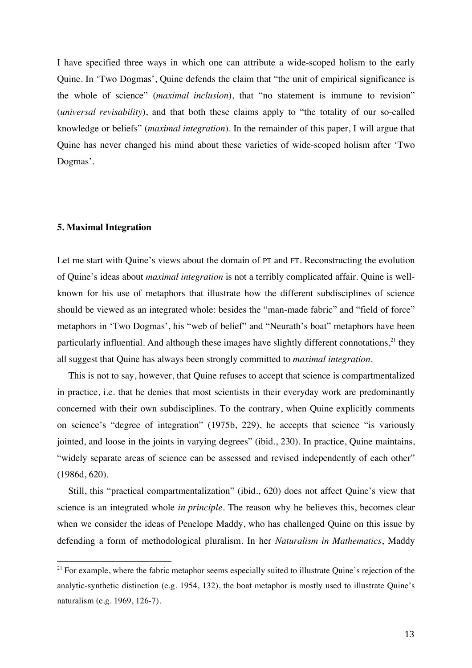I have specified three ways in which one can attribute a wide-scoped holism to the early Quine. In 'Two Dogmas', Quine defends the claim that "the unit of empirical significance is the whole of science" (*maximal inclusion*), that "no statement is immune to revision" (*universal revisability*), and that both these claims apply to "the totality of our so-called knowledge or beliefs" (*maximal integration*). In the remainder of this paper, I will argue that Quine has never changed his mind about these varieties of wide-scoped holism after 'Two Dogmas'.

#### **5. Maximal Integration**

 

Let me start with Quine's views about the domain of PT and FT. Reconstructing the evolution of Quine's ideas about *maximal integration* is not a terribly complicated affair. Quine is wellknown for his use of metaphors that illustrate how the different subdisciplines of science should be viewed as an integrated whole: besides the "man-made fabric" and "field of force" metaphors in 'Two Dogmas', his "web of belief" and "Neurath's boat" metaphors have been particularly influential. And although these images have slightly different connotations, $^{21}$  they all suggest that Quine has always been strongly committed to *maximal integration*.

This is not to say, however, that Quine refuses to accept that science is compartmentalized in practice, i.e. that he denies that most scientists in their everyday work are predominantly concerned with their own subdisciplines. To the contrary, when Quine explicitly comments on science's "degree of integration" (1975b, 229), he accepts that science "is variously jointed, and loose in the joints in varying degrees" (ibid., 230). In practice, Quine maintains, "widely separate areas of science can be assessed and revised independently of each other" (1986d, 620).

Still, this "practical compartmentalization" (ibid., 620) does not affect Quine's view that science is an integrated whole *in principle*. The reason why he believes this, becomes clear when we consider the ideas of Penelope Maddy, who has challenged Quine on this issue by defending a form of methodological pluralism. In her *Naturalism in Mathematics*, Maddy

 $21$  For example, where the fabric metaphor seems especially suited to illustrate Quine's rejection of the analytic-synthetic distinction (e.g. 1954, 132), the boat metaphor is mostly used to illustrate Quine's naturalism (e.g. 1969, 126-7).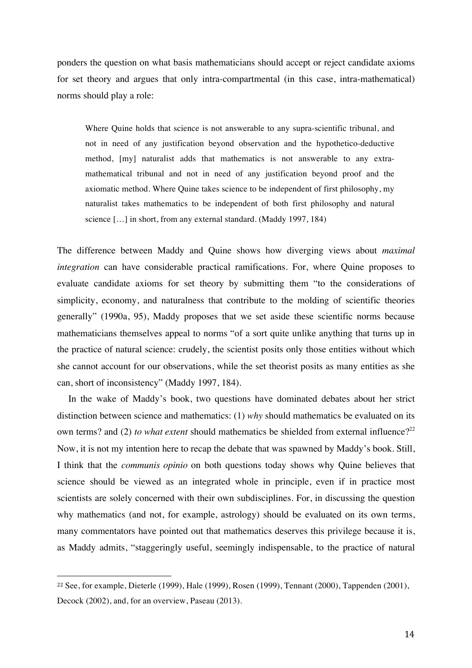ponders the question on what basis mathematicians should accept or reject candidate axioms for set theory and argues that only intra-compartmental (in this case, intra-mathematical) norms should play a role:

Where Quine holds that science is not answerable to any supra-scientific tribunal, and not in need of any justification beyond observation and the hypothetico-deductive method, [my] naturalist adds that mathematics is not answerable to any extramathematical tribunal and not in need of any justification beyond proof and the axiomatic method. Where Quine takes science to be independent of first philosophy, my naturalist takes mathematics to be independent of both first philosophy and natural science […] in short, from any external standard. (Maddy 1997, 184)

The difference between Maddy and Quine shows how diverging views about *maximal integration* can have considerable practical ramifications. For, where Quine proposes to evaluate candidate axioms for set theory by submitting them "to the considerations of simplicity, economy, and naturalness that contribute to the molding of scientific theories generally" (1990a, 95), Maddy proposes that we set aside these scientific norms because mathematicians themselves appeal to norms "of a sort quite unlike anything that turns up in the practice of natural science: crudely, the scientist posits only those entities without which she cannot account for our observations, while the set theorist posits as many entities as she can, short of inconsistency" (Maddy 1997, 184).

In the wake of Maddy's book, two questions have dominated debates about her strict distinction between science and mathematics: (1) *why* should mathematics be evaluated on its own terms? and (2) *to what extent* should mathematics be shielded from external influence?<sup>22</sup> Now, it is not my intention here to recap the debate that was spawned by Maddy's book. Still, I think that the *communis opinio* on both questions today shows why Quine believes that science should be viewed as an integrated whole in principle, even if in practice most scientists are solely concerned with their own subdisciplines. For, in discussing the question why mathematics (and not, for example, astrology) should be evaluated on its own terms, many commentators have pointed out that mathematics deserves this privilege because it is, as Maddy admits, "staggeringly useful, seemingly indispensable, to the practice of natural

<sup>22</sup> See, for example, Dieterle (1999), Hale (1999), Rosen (1999), Tennant (2000), Tappenden (2001), Decock (2002), and, for an overview, Paseau (2013).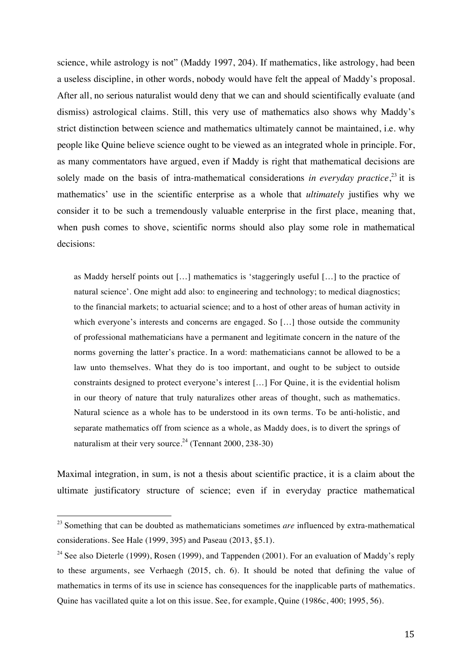science, while astrology is not" (Maddy 1997, 204). If mathematics, like astrology, had been a useless discipline, in other words, nobody would have felt the appeal of Maddy's proposal. After all, no serious naturalist would deny that we can and should scientifically evaluate (and dismiss) astrological claims. Still, this very use of mathematics also shows why Maddy's strict distinction between science and mathematics ultimately cannot be maintained, i.e. why people like Quine believe science ought to be viewed as an integrated whole in principle. For, as many commentators have argued, even if Maddy is right that mathematical decisions are solely made on the basis of intra-mathematical considerations *in everyday practice*, <sup>23</sup> it is mathematics' use in the scientific enterprise as a whole that *ultimately* justifies why we consider it to be such a tremendously valuable enterprise in the first place, meaning that, when push comes to shove, scientific norms should also play some role in mathematical decisions:

as Maddy herself points out […] mathematics is 'staggeringly useful […] to the practice of natural science'. One might add also: to engineering and technology; to medical diagnostics; to the financial markets; to actuarial science; and to a host of other areas of human activity in which everyone's interests and concerns are engaged. So [...] those outside the community of professional mathematicians have a permanent and legitimate concern in the nature of the norms governing the latter's practice. In a word: mathematicians cannot be allowed to be a law unto themselves. What they do is too important, and ought to be subject to outside constraints designed to protect everyone's interest […] For Quine, it is the evidential holism in our theory of nature that truly naturalizes other areas of thought, such as mathematics. Natural science as a whole has to be understood in its own terms. To be anti-holistic, and separate mathematics off from science as a whole, as Maddy does, is to divert the springs of naturalism at their very source.<sup>24</sup> (Tennant 2000, 238-30)

Maximal integration, in sum, is not a thesis about scientific practice, it is a claim about the ultimate justificatory structure of science; even if in everyday practice mathematical

<sup>&</sup>lt;sup>23</sup> Something that can be doubted as mathematicians sometimes *are* influenced by extra-mathematical considerations. See Hale (1999, 395) and Paseau (2013, §5.1).

<sup>&</sup>lt;sup>24</sup> See also Dieterle (1999), Rosen (1999), and Tappenden (2001). For an evaluation of Maddy's reply to these arguments, see Verhaegh (2015, ch. 6). It should be noted that defining the value of mathematics in terms of its use in science has consequences for the inapplicable parts of mathematics. Quine has vacillated quite a lot on this issue. See, for example, Quine (1986c, 400; 1995, 56).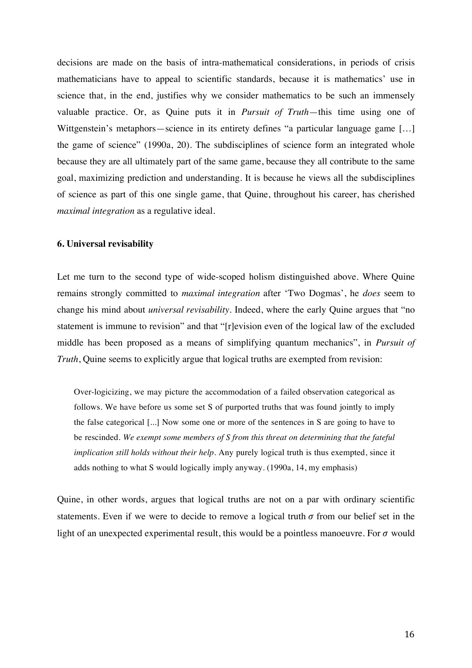decisions are made on the basis of intra-mathematical considerations, in periods of crisis mathematicians have to appeal to scientific standards, because it is mathematics' use in science that, in the end, justifies why we consider mathematics to be such an immensely valuable practice. Or, as Quine puts it in *Pursuit of Truth*—this time using one of Wittgenstein's metaphors—science in its entirety defines "a particular language game [...] the game of science" (1990a, 20). The subdisciplines of science form an integrated whole because they are all ultimately part of the same game, because they all contribute to the same goal, maximizing prediction and understanding. It is because he views all the subdisciplines of science as part of this one single game, that Quine, throughout his career, has cherished *maximal integration* as a regulative ideal.

# **6. Universal revisability**

Let me turn to the second type of wide-scoped holism distinguished above. Where Quine remains strongly committed to *maximal integration* after 'Two Dogmas', he *does* seem to change his mind about *universal revisability*. Indeed, where the early Quine argues that "no statement is immune to revision" and that "[r]evision even of the logical law of the excluded middle has been proposed as a means of simplifying quantum mechanics", in *Pursuit of Truth*, Quine seems to explicitly argue that logical truths are exempted from revision:

Over-logicizing, we may picture the accommodation of a failed observation categorical as follows. We have before us some set S of purported truths that was found jointly to imply the false categorical [...] Now some one or more of the sentences in S are going to have to be rescinded. *We exempt some members of S from this threat on determining that the fateful implication still holds without their help.* Any purely logical truth is thus exempted, since it adds nothing to what S would logically imply anyway. (1990a, 14, my emphasis)

Quine, in other words, argues that logical truths are not on a par with ordinary scientific statements. Even if we were to decide to remove a logical truth  $\sigma$  from our belief set in the light of an unexpected experimental result, this would be a pointless manoeuvre. For  $\sigma$  would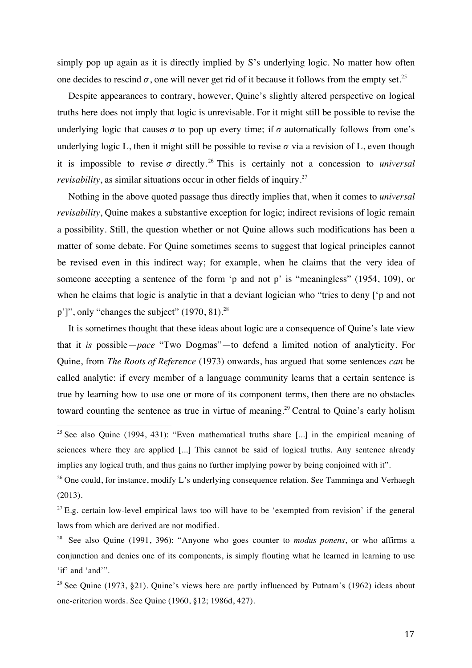simply pop up again as it is directly implied by S's underlying logic. No matter how often one decides to rescind  $\sigma$ , one will never get rid of it because it follows from the empty set.<sup>25</sup>

Despite appearances to contrary, however, Quine's slightly altered perspective on logical truths here does not imply that logic is unrevisable. For it might still be possible to revise the underlying logic that causes  $\sigma$  to pop up every time; if  $\sigma$  automatically follows from one's underlying logic L, then it might still be possible to revise  $\sigma$  via a revision of L, even though it is impossible to revise  $\sigma$  directly.<sup>26</sup> This is certainly not a concession to *universal revisability*, as similar situations occur in other fields of inquiry.<sup>27</sup>

Nothing in the above quoted passage thus directly implies that, when it comes to *universal revisability*, Quine makes a substantive exception for logic; indirect revisions of logic remain a possibility. Still, the question whether or not Quine allows such modifications has been a matter of some debate. For Quine sometimes seems to suggest that logical principles cannot be revised even in this indirect way; for example, when he claims that the very idea of someone accepting a sentence of the form 'p and not p' is "meaningless" (1954, 109), or when he claims that logic is analytic in that a deviant logician who "tries to deny ['p and not p']", only "changes the subject"  $(1970, 81)$ .<sup>28</sup>

It is sometimes thought that these ideas about logic are a consequence of Quine's late view that it *is* possible—*pace* "Two Dogmas"—to defend a limited notion of analyticity. For Quine, from *The Roots of Reference* (1973) onwards, has argued that some sentences *can* be called analytic: if every member of a language community learns that a certain sentence is true by learning how to use one or more of its component terms, then there are no obstacles toward counting the sentence as true in virtue of meaning.<sup>29</sup> Central to Quine's early holism

<sup>&</sup>lt;sup>25</sup> See also Quine (1994, 431): "Even mathematical truths share [...] in the empirical meaning of sciences where they are applied [...] This cannot be said of logical truths. Any sentence already implies any logical truth, and thus gains no further implying power by being conjoined with it".

<sup>&</sup>lt;sup>26</sup> One could, for instance, modify L's underlying consequence relation. See Tamminga and Verhaegh (2013)*.* 

 $27$  E.g. certain low-level empirical laws too will have to be 'exempted from revision' if the general laws from which are derived are not modified.

<sup>28</sup> See also Quine (1991, 396): "Anyone who goes counter to *modus ponens*, or who affirms a conjunction and denies one of its components, is simply flouting what he learned in learning to use 'if' and 'and'".

<sup>&</sup>lt;sup>29</sup> See Quine (1973, §21). Quine's views here are partly influenced by Putnam's (1962) ideas about one-criterion words. See Quine (1960, §12; 1986d, 427).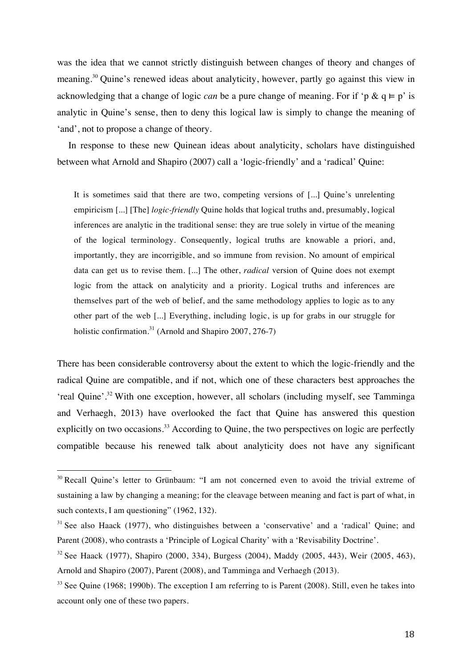was the idea that we cannot strictly distinguish between changes of theory and changes of meaning.<sup>30</sup> Quine's renewed ideas about analyticity, however, partly go against this view in acknowledging that a change of logic *can* be a pure change of meaning. For if 'p &  $q \models p$ ' is analytic in Quine's sense, then to deny this logical law is simply to change the meaning of 'and', not to propose a change of theory.

In response to these new Quinean ideas about analyticity, scholars have distinguished between what Arnold and Shapiro (2007) call a 'logic-friendly' and a 'radical' Quine:

It is sometimes said that there are two, competing versions of [...] Quine's unrelenting empiricism [...] [The] *logic-friendly* Quine holds that logical truths and, presumably, logical inferences are analytic in the traditional sense: they are true solely in virtue of the meaning of the logical terminology. Consequently, logical truths are knowable a priori, and, importantly, they are incorrigible, and so immune from revision. No amount of empirical data can get us to revise them. [...] The other, *radical* version of Quine does not exempt logic from the attack on analyticity and a priority. Logical truths and inferences are themselves part of the web of belief, and the same methodology applies to logic as to any other part of the web [...] Everything, including logic, is up for grabs in our struggle for holistic confirmation.<sup>31</sup> (Arnold and Shapiro 2007, 276-7)

There has been considerable controversy about the extent to which the logic-friendly and the radical Quine are compatible, and if not, which one of these characters best approaches the 'real Quine'.<sup>32</sup> With one exception, however, all scholars (including myself, see Tamminga and Verhaegh, 2013) have overlooked the fact that Quine has answered this question explicitly on two occasions.<sup>33</sup> According to Quine, the two perspectives on logic are perfectly compatible because his renewed talk about analyticity does not have any significant

<sup>&</sup>lt;sup>30</sup> Recall Quine's letter to Grünbaum: "I am not concerned even to avoid the trivial extreme of sustaining a law by changing a meaning; for the cleavage between meaning and fact is part of what, in such contexts, I am questioning" (1962, 132).

 $31$  See also Haack (1977), who distinguishes between a 'conservative' and a 'radical' Quine; and Parent (2008), who contrasts a 'Principle of Logical Charity' with a 'Revisability Doctrine'.

 $32$  See Haack (1977), Shapiro (2000, 334), Burgess (2004), Maddy (2005, 443), Weir (2005, 463), Arnold and Shapiro (2007), Parent (2008), and Tamminga and Verhaegh (2013).

<sup>&</sup>lt;sup>33</sup> See Ouine (1968; 1990b). The exception I am referring to is Parent (2008). Still, even he takes into account only one of these two papers.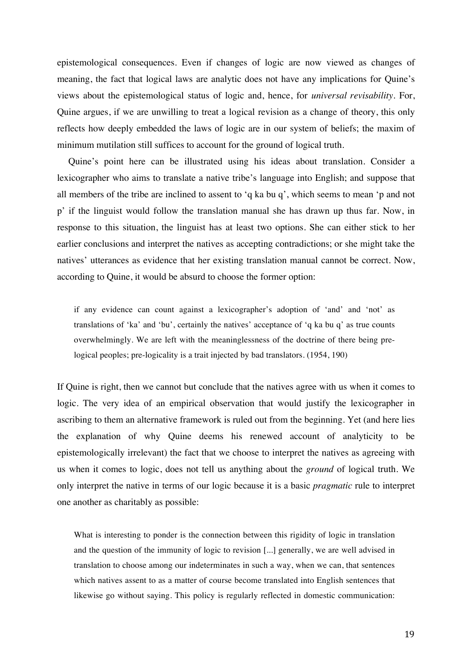epistemological consequences. Even if changes of logic are now viewed as changes of meaning, the fact that logical laws are analytic does not have any implications for Quine's views about the epistemological status of logic and, hence, for *universal revisability*. For, Quine argues, if we are unwilling to treat a logical revision as a change of theory, this only reflects how deeply embedded the laws of logic are in our system of beliefs; the maxim of minimum mutilation still suffices to account for the ground of logical truth.

Quine's point here can be illustrated using his ideas about translation. Consider a lexicographer who aims to translate a native tribe's language into English; and suppose that all members of the tribe are inclined to assent to 'q ka bu q', which seems to mean 'p and not p' if the linguist would follow the translation manual she has drawn up thus far. Now, in response to this situation, the linguist has at least two options. She can either stick to her earlier conclusions and interpret the natives as accepting contradictions; or she might take the natives' utterances as evidence that her existing translation manual cannot be correct. Now, according to Quine, it would be absurd to choose the former option:

if any evidence can count against a lexicographer's adoption of 'and' and 'not' as translations of 'ka' and 'bu', certainly the natives' acceptance of 'q ka bu q' as true counts overwhelmingly. We are left with the meaninglessness of the doctrine of there being prelogical peoples; pre-logicality is a trait injected by bad translators. (1954, 190)

If Quine is right, then we cannot but conclude that the natives agree with us when it comes to logic. The very idea of an empirical observation that would justify the lexicographer in ascribing to them an alternative framework is ruled out from the beginning. Yet (and here lies the explanation of why Quine deems his renewed account of analyticity to be epistemologically irrelevant) the fact that we choose to interpret the natives as agreeing with us when it comes to logic, does not tell us anything about the *ground* of logical truth. We only interpret the native in terms of our logic because it is a basic *pragmatic* rule to interpret one another as charitably as possible:

What is interesting to ponder is the connection between this rigidity of logic in translation and the question of the immunity of logic to revision [...] generally, we are well advised in translation to choose among our indeterminates in such a way, when we can, that sentences which natives assent to as a matter of course become translated into English sentences that likewise go without saying. This policy is regularly reflected in domestic communication: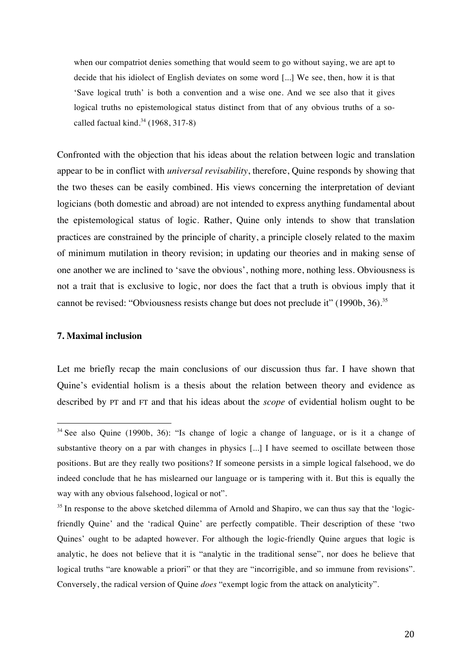when our compatriot denies something that would seem to go without saying, we are apt to decide that his idiolect of English deviates on some word [...] We see, then, how it is that 'Save logical truth' is both a convention and a wise one. And we see also that it gives logical truths no epistemological status distinct from that of any obvious truths of a socalled factual kind. $34$  (1968, 317-8)

Confronted with the objection that his ideas about the relation between logic and translation appear to be in conflict with *universal revisability*, therefore, Quine responds by showing that the two theses can be easily combined. His views concerning the interpretation of deviant logicians (both domestic and abroad) are not intended to express anything fundamental about the epistemological status of logic. Rather, Quine only intends to show that translation practices are constrained by the principle of charity, a principle closely related to the maxim of minimum mutilation in theory revision; in updating our theories and in making sense of one another we are inclined to 'save the obvious', nothing more, nothing less. Obviousness is not a trait that is exclusive to logic, nor does the fact that a truth is obvious imply that it cannot be revised: "Obviousness resists change but does not preclude it" (1990b, 36).<sup>35</sup>

# **7. Maximal inclusion**

 

Let me briefly recap the main conclusions of our discussion thus far. I have shown that Quine's evidential holism is a thesis about the relation between theory and evidence as described by PT and FT and that his ideas about the *scope* of evidential holism ought to be

<sup>34</sup> See also Quine (1990b, 36): "Is change of logic a change of language, or is it a change of substantive theory on a par with changes in physics [...] I have seemed to oscillate between those positions. But are they really two positions? If someone persists in a simple logical falsehood, we do indeed conclude that he has mislearned our language or is tampering with it. But this is equally the way with any obvious falsehood, logical or not".

<sup>&</sup>lt;sup>35</sup> In response to the above sketched dilemma of Arnold and Shapiro, we can thus say that the 'logicfriendly Quine' and the 'radical Quine' are perfectly compatible. Their description of these 'two Quines' ought to be adapted however. For although the logic-friendly Quine argues that logic is analytic, he does not believe that it is "analytic in the traditional sense", nor does he believe that logical truths "are knowable a priori" or that they are "incorrigible, and so immune from revisions". Conversely, the radical version of Quine *does* "exempt logic from the attack on analyticity".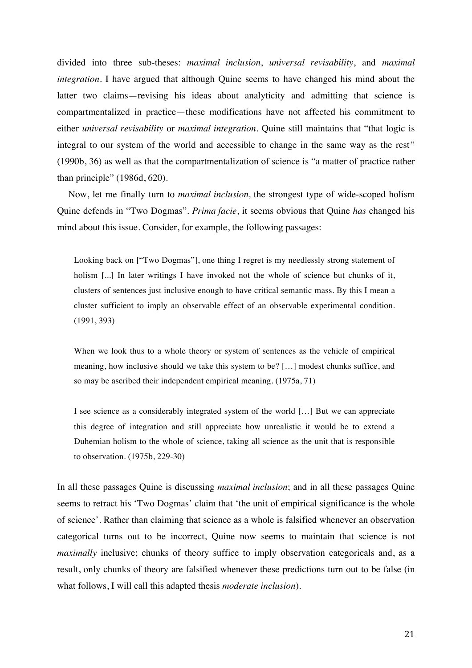divided into three sub-theses: *maximal inclusion*, *universal revisability*, and *maximal integration*. I have argued that although Quine seems to have changed his mind about the latter two claims—revising his ideas about analyticity and admitting that science is compartmentalized in practice—these modifications have not affected his commitment to either *universal revisability* or *maximal integration*. Quine still maintains that "that logic is integral to our system of the world and accessible to change in the same way as the rest*"*  (1990b, 36) as well as that the compartmentalization of science is "a matter of practice rather than principle" (1986d, 620).

Now, let me finally turn to *maximal inclusion,* the strongest type of wide-scoped holism Quine defends in "Two Dogmas". *Prima facie*, it seems obvious that Quine *has* changed his mind about this issue. Consider, for example, the following passages:

Looking back on ["Two Dogmas"], one thing I regret is my needlessly strong statement of holism [...] In later writings I have invoked not the whole of science but chunks of it, clusters of sentences just inclusive enough to have critical semantic mass. By this I mean a cluster sufficient to imply an observable effect of an observable experimental condition. (1991, 393)

When we look thus to a whole theory or system of sentences as the vehicle of empirical meaning, how inclusive should we take this system to be? […] modest chunks suffice, and so may be ascribed their independent empirical meaning. (1975a, 71)

I see science as a considerably integrated system of the world […] But we can appreciate this degree of integration and still appreciate how unrealistic it would be to extend a Duhemian holism to the whole of science, taking all science as the unit that is responsible to observation. (1975b, 229-30)

In all these passages Quine is discussing *maximal inclusion*; and in all these passages Quine seems to retract his 'Two Dogmas' claim that 'the unit of empirical significance is the whole of science'. Rather than claiming that science as a whole is falsified whenever an observation categorical turns out to be incorrect, Quine now seems to maintain that science is not *maximally* inclusive; chunks of theory suffice to imply observation categoricals and, as a result, only chunks of theory are falsified whenever these predictions turn out to be false (in what follows, I will call this adapted thesis *moderate inclusion*).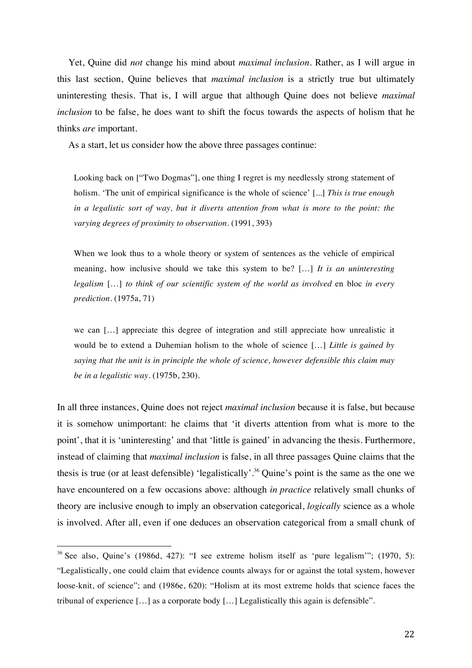Yet, Quine did *not* change his mind about *maximal inclusion*. Rather, as I will argue in this last section, Quine believes that *maximal inclusion* is a strictly true but ultimately uninteresting thesis. That is, I will argue that although Quine does not believe *maximal inclusion* to be false, he does want to shift the focus towards the aspects of holism that he thinks *are* important.

As a start, let us consider how the above three passages continue:

Looking back on ["Two Dogmas"], one thing I regret is my needlessly strong statement of holism. 'The unit of empirical significance is the whole of science' [...] *This is true enough in a legalistic sort of way, but it diverts attention from what is more to the point: the varying degrees of proximity to observation*. (1991, 393)

When we look thus to a whole theory or system of sentences as the vehicle of empirical meaning, how inclusive should we take this system to be? […] *It is an uninteresting legalism* [...] *to think of our scientific system of the world as involved en bloc in every prediction*. (1975a, 71)

we can […] appreciate this degree of integration and still appreciate how unrealistic it would be to extend a Duhemian holism to the whole of science […] *Little is gained by saying that the unit is in principle the whole of science, however defensible this claim may be in a legalistic way*. (1975b, 230).

In all three instances, Quine does not reject *maximal inclusion* because it is false, but because it is somehow unimportant: he claims that 'it diverts attention from what is more to the point', that it is 'uninteresting' and that 'little is gained' in advancing the thesis. Furthermore, instead of claiming that *maximal inclusion* is false, in all three passages Quine claims that the thesis is true (or at least defensible) 'legalistically'.36 Quine's point is the same as the one we have encountered on a few occasions above: although *in practice* relatively small chunks of theory are inclusive enough to imply an observation categorical, *logically* science as a whole is involved. After all, even if one deduces an observation categorical from a small chunk of

<sup>36</sup> See also, Quine's (1986d, 427): "I see extreme holism itself as 'pure legalism'"; (1970, 5): "Legalistically, one could claim that evidence counts always for or against the total system, however loose-knit, of science"; and (1986e, 620): "Holism at its most extreme holds that science faces the tribunal of experience […] as a corporate body […] Legalistically this again is defensible".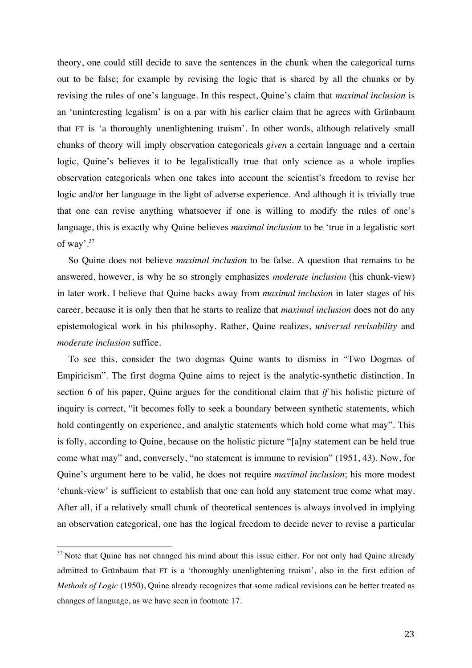theory, one could still decide to save the sentences in the chunk when the categorical turns out to be false; for example by revising the logic that is shared by all the chunks or by revising the rules of one's language. In this respect, Quine's claim that *maximal inclusion* is an 'uninteresting legalism' is on a par with his earlier claim that he agrees with Grünbaum that FT is 'a thoroughly unenlightening truism'. In other words, although relatively small chunks of theory will imply observation categoricals *given* a certain language and a certain logic, Quine's believes it to be legalistically true that only science as a whole implies observation categoricals when one takes into account the scientist's freedom to revise her logic and/or her language in the light of adverse experience. And although it is trivially true that one can revise anything whatsoever if one is willing to modify the rules of one's language, this is exactly why Quine believes *maximal inclusion* to be 'true in a legalistic sort of way'.<sup>37</sup>

So Quine does not believe *maximal inclusion* to be false. A question that remains to be answered, however, is why he so strongly emphasizes *moderate inclusion* (his chunk-view) in later work. I believe that Quine backs away from *maximal inclusion* in later stages of his career, because it is only then that he starts to realize that *maximal inclusion* does not do any epistemological work in his philosophy. Rather, Quine realizes, *universal revisability* and *moderate inclusion* suffice.

To see this, consider the two dogmas Quine wants to dismiss in "Two Dogmas of Empiricism". The first dogma Quine aims to reject is the analytic-synthetic distinction. In section 6 of his paper, Quine argues for the conditional claim that *if* his holistic picture of inquiry is correct, "it becomes folly to seek a boundary between synthetic statements, which hold contingently on experience, and analytic statements which hold come what may". This is folly, according to Quine, because on the holistic picture "[a]ny statement can be held true come what may" and, conversely, "no statement is immune to revision" (1951, 43). Now, for Quine's argument here to be valid, he does not require *maximal inclusion*; his more modest 'chunk-view' is sufficient to establish that one can hold any statement true come what may. After all, if a relatively small chunk of theoretical sentences is always involved in implying an observation categorical, one has the logical freedom to decide never to revise a particular

 $37$  Note that Quine has not changed his mind about this issue either. For not only had Quine already admitted to Grünbaum that FT is a 'thoroughly unenlightening truism', also in the first edition of *Methods of Logic* (1950), Quine already recognizes that some radical revisions can be better treated as changes of language, as we have seen in footnote 17.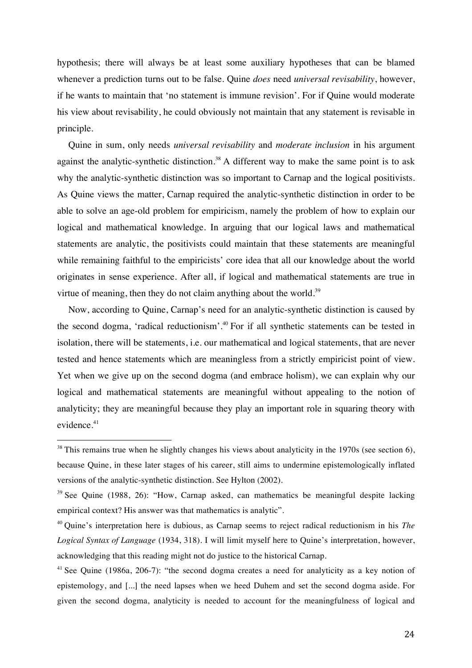hypothesis; there will always be at least some auxiliary hypotheses that can be blamed whenever a prediction turns out to be false. Quine *does* need *universal revisability*, however, if he wants to maintain that 'no statement is immune revision'. For if Quine would moderate his view about revisability, he could obviously not maintain that any statement is revisable in principle.

Quine in sum, only needs *universal revisability* and *moderate inclusion* in his argument against the analytic-synthetic distinction.<sup>38</sup> A different way to make the same point is to ask why the analytic-synthetic distinction was so important to Carnap and the logical positivists. As Quine views the matter, Carnap required the analytic-synthetic distinction in order to be able to solve an age-old problem for empiricism, namely the problem of how to explain our logical and mathematical knowledge. In arguing that our logical laws and mathematical statements are analytic, the positivists could maintain that these statements are meaningful while remaining faithful to the empiricists' core idea that all our knowledge about the world originates in sense experience. After all, if logical and mathematical statements are true in virtue of meaning, then they do not claim anything about the world.<sup>39</sup>

Now, according to Quine, Carnap's need for an analytic-synthetic distinction is caused by the second dogma, 'radical reductionism'.<sup>40</sup> For if all synthetic statements can be tested in isolation, there will be statements, i.e. our mathematical and logical statements, that are never tested and hence statements which are meaningless from a strictly empiricist point of view. Yet when we give up on the second dogma (and embrace holism), we can explain why our logical and mathematical statements are meaningful without appealing to the notion of analyticity; they are meaningful because they play an important role in squaring theory with evidence.<sup>41</sup>

<sup>&</sup>lt;sup>38</sup> This remains true when he slightly changes his views about analyticity in the 1970s (see section 6), because Quine, in these later stages of his career, still aims to undermine epistemologically inflated versions of the analytic-synthetic distinction. See Hylton (2002).

 $39$  See Quine (1988, 26): "How, Carnap asked, can mathematics be meaningful despite lacking empirical context? His answer was that mathematics is analytic".

<sup>40</sup> Quine's interpretation here is dubious, as Carnap seems to reject radical reductionism in his *The Logical Syntax of Language* (1934, 318). I will limit myself here to Quine's interpretation, however, acknowledging that this reading might not do justice to the historical Carnap.

<sup>&</sup>lt;sup>41</sup> See Quine (1986a, 206-7): "the second dogma creates a need for analyticity as a key notion of epistemology, and [...] the need lapses when we heed Duhem and set the second dogma aside. For given the second dogma, analyticity is needed to account for the meaningfulness of logical and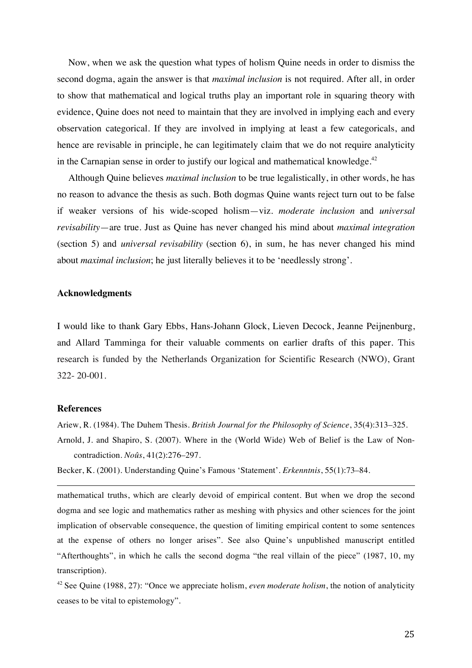Now, when we ask the question what types of holism Quine needs in order to dismiss the second dogma, again the answer is that *maximal inclusion* is not required. After all, in order to show that mathematical and logical truths play an important role in squaring theory with evidence, Quine does not need to maintain that they are involved in implying each and every observation categorical. If they are involved in implying at least a few categoricals, and hence are revisable in principle, he can legitimately claim that we do not require analyticity in the Carnapian sense in order to justify our logical and mathematical knowledge.<sup>42</sup>

Although Quine believes *maximal inclusion* to be true legalistically, in other words, he has no reason to advance the thesis as such. Both dogmas Quine wants reject turn out to be false if weaker versions of his wide-scoped holism—viz. *moderate inclusion* and *universal revisability*—are true. Just as Quine has never changed his mind about *maximal integration*  (section 5) and *universal revisability* (section 6), in sum, he has never changed his mind about *maximal inclusion*; he just literally believes it to be 'needlessly strong'.

### **Acknowledgments**

I would like to thank Gary Ebbs, Hans-Johann Glock, Lieven Decock, Jeanne Peijnenburg, and Allard Tamminga for their valuable comments on earlier drafts of this paper. This research is funded by the Netherlands Organization for Scientific Research (NWO), Grant 322- 20-001.

### **References**

- Ariew, R. (1984). The Duhem Thesis. *British Journal for the Philosophy of Science*, 35(4):313–325.
- Arnold, J. and Shapiro, S. (2007). Where in the (World Wide) Web of Belief is the Law of Noncontradiction. *Noûs*, 41(2):276–297.

<u> 1989 - Andrea San Andrea San Andrea San Andrea San Andrea San Andrea San Andrea San Andrea San Andrea San An</u>

Becker, K. (2001). Understanding Quine's Famous 'Statement'. *Erkenntnis*, 55(1):73–84.

mathematical truths, which are clearly devoid of empirical content. But when we drop the second dogma and see logic and mathematics rather as meshing with physics and other sciences for the joint implication of observable consequence, the question of limiting empirical content to some sentences at the expense of others no longer arises". See also Quine's unpublished manuscript entitled "Afterthoughts", in which he calls the second dogma "the real villain of the piece" (1987, 10, my transcription).

<sup>42</sup> See Quine (1988, 27): "Once we appreciate holism, *even moderate holism*, the notion of analyticity ceases to be vital to epistemology".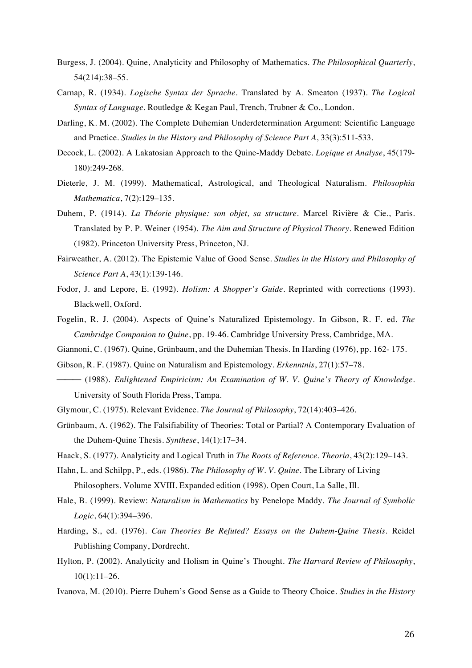- Burgess, J. (2004). Quine, Analyticity and Philosophy of Mathematics. *The Philosophical Quarterly*, 54(214):38–55.
- Carnap, R. (1934). *Logische Syntax der Sprache*. Translated by A. Smeaton (1937). *The Logical Syntax of Language*. Routledge & Kegan Paul, Trench, Trubner & Co., London.
- Darling, K. M. (2002). The Complete Duhemian Underdetermination Argument: Scientific Language and Practice. *Studies in the History and Philosophy of Science Part A*, 33(3):511-533.
- Decock, L. (2002). A Lakatosian Approach to the Quine-Maddy Debate. *Logique et Analyse*, 45(179- 180):249-268.
- Dieterle, J. M. (1999). Mathematical, Astrological, and Theological Naturalism. *Philosophia Mathematica*, 7(2):129–135.
- Duhem, P. (1914). *La Théorie physique: son objet, sa structure*. Marcel Rivière & Cie., Paris. Translated by P. P. Weiner (1954). *The Aim and Structure of Physical Theory*. Renewed Edition (1982). Princeton University Press, Princeton, NJ.
- Fairweather, A. (2012). The Epistemic Value of Good Sense. *Studies in the History and Philosophy of Science Part A*, 43(1):139-146.
- Fodor, J. and Lepore, E. (1992). *Holism: A Shopper's Guide.* Reprinted with corrections (1993). Blackwell, Oxford.
- Fogelin, R. J. (2004). Aspects of Quine's Naturalized Epistemology. In Gibson, R. F. ed. *The Cambridge Companion to Quine*, pp. 19-46. Cambridge University Press, Cambridge, MA.
- Giannoni, C. (1967). Quine, Grünbaum, and the Duhemian Thesis. In Harding (1976), pp. 162- 175.
- Gibson, R. F. (1987). Quine on Naturalism and Epistemology. *Erkenntnis*, 27(1):57–78.
- ⎯⎯⎯ (1988). *Enlightened Empiricism: An Examination of W. V. Quine's Theory of Knowledge*. University of South Florida Press, Tampa.
- Glymour, C. (1975). Relevant Evidence. *The Journal of Philosophy*, 72(14):403–426.
- Grünbaum, A. (1962). The Falsifiability of Theories: Total or Partial? A Contemporary Evaluation of the Duhem-Quine Thesis. *Synthese*, 14(1):17–34.
- Haack, S. (1977). Analyticity and Logical Truth in *The Roots of Reference*. *Theoria*, 43(2):129–143.
- Hahn, L. and Schilpp, P., eds. (1986). *The Philosophy of W. V. Quine.* The Library of Living Philosophers. Volume XVIII. Expanded edition (1998). Open Court, La Salle, Ill.
- Hale, B. (1999). Review: *Naturalism in Mathematics* by Penelope Maddy. *The Journal of Symbolic Logic*, 64(1):394–396.
- Harding, S., ed. (1976). *Can Theories Be Refuted? Essays on the Duhem-Quine Thesis*. Reidel Publishing Company, Dordrecht.
- Hylton, P. (2002). Analyticity and Holism in Quine's Thought. *The Harvard Review of Philosophy*, 10(1):11–26.
- Ivanova, M. (2010). Pierre Duhem's Good Sense as a Guide to Theory Choice. *Studies in the History*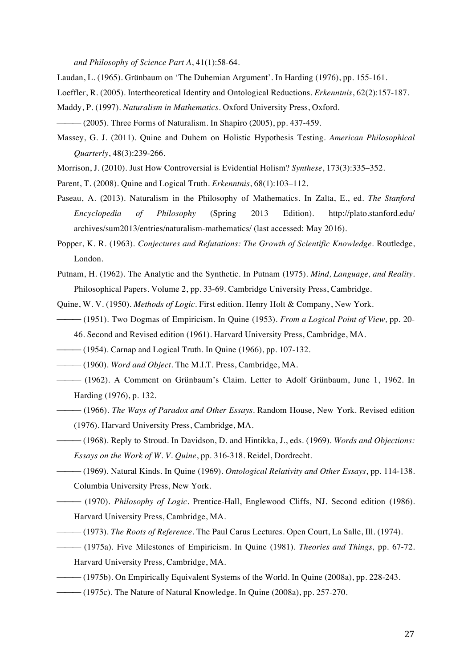*and Philosophy of Science Part A*, 41(1):58-64.

- Laudan, L. (1965). Grünbaum on 'The Duhemian Argument'. In Harding (1976), pp. 155-161.
- Loeffler, R. (2005). Intertheoretical Identity and Ontological Reductions. *Erkenntnis*, 62(2):157-187.
- Maddy, P. (1997). *Naturalism in Mathematics*. Oxford University Press, Oxford.
- $\frac{1}{2005}$ . Three Forms of Naturalism. In Shapiro (2005), pp. 437-459.
- Massey, G. J. (2011). Quine and Duhem on Holistic Hypothesis Testing. *American Philosophical Quarterly*, 48(3):239-266.
- Morrison, J. (2010). Just How Controversial is Evidential Holism? *Synthese*, 173(3):335–352.
- Parent, T. (2008). Quine and Logical Truth. *Erkenntnis*, 68(1):103–112.
- Paseau, A. (2013). Naturalism in the Philosophy of Mathematics. In Zalta, E., ed. *The Stanford Encyclopedia of Philosophy* (Spring 2013 Edition). http://plato.stanford.edu/ archives/sum2013/entries/naturalism-mathematics/ (last accessed: May 2016).
- Popper, K. R. (1963). *Conjectures and Refutations: The Growth of Scientific Knowledge*. Routledge, London.
- Putnam, H. (1962). The Analytic and the Synthetic. In Putnam (1975). *Mind, Language, and Reality*. Philosophical Papers. Volume 2, pp. 33-69. Cambridge University Press, Cambridge.
- Quine, W. V. (1950). *Methods of Logic.* First edition. Henry Holt & Company, New York.
- ⎯⎯⎯ (1951). Two Dogmas of Empiricism. In Quine (1953). *From a Logical Point of View,* pp. 20- 46. Second and Revised edition (1961). Harvard University Press, Cambridge, MA.
- ⎯⎯⎯ (1954). Carnap and Logical Truth. In Quine (1966), pp. 107-132.
- ⎯⎯⎯ (1960). *Word and Object*. The M.I.T. Press, Cambridge, MA.
- ⎯⎯⎯ (1962). A Comment on Grünbaum's Claim. Letter to Adolf Grünbaum, June 1, 1962. In Harding (1976), p. 132.
- ⎯⎯⎯ (1966). *The Ways of Paradox and Other Essays.* Random House, New York. Revised edition (1976). Harvard University Press, Cambridge, MA.
- ⎯⎯⎯ (1968). Reply to Stroud. In Davidson, D. and Hintikka, J., eds. (1969). *Words and Objections: Essays on the Work of W. V. Quine*, pp. 316-318. Reidel, Dordrecht.
- ⎯⎯⎯ (1969). Natural Kinds. In Quine (1969). *Ontological Relativity and Other Essays*, pp. 114-138. Columbia University Press, New York.
- ⎯⎯⎯ (1970). *Philosophy of Logic.* Prentice-Hall, Englewood Cliffs, NJ. Second edition (1986). Harvard University Press, Cambridge, MA.
- ⎯⎯⎯ (1973). *The Roots of Reference.* The Paul Carus Lectures. Open Court, La Salle, Ill. (1974).
- ⎯⎯⎯ (1975a). Five Milestones of Empiricism. In Quine (1981). *Theories and Things,* pp. 67-72. Harvard University Press, Cambridge, MA.
- (1975b). On Empirically Equivalent Systems of the World. In Quine (2008a), pp. 228-243.
- ⎯⎯⎯ (1975c). The Nature of Natural Knowledge. In Quine (2008a), pp. 257-270.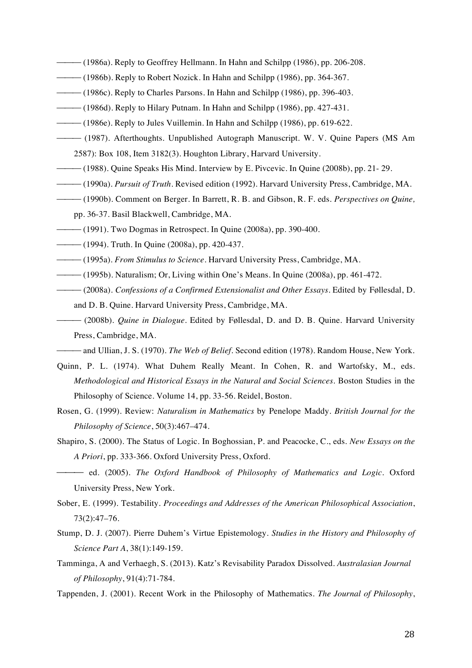- ⎯⎯⎯ (1986a). Reply to Geoffrey Hellmann. In Hahn and Schilpp (1986), pp. 206-208.
- (1986b). Reply to Robert Nozick. In Hahn and Schilpp (1986), pp. 364-367.
- $\leftarrow$  (1986c). Reply to Charles Parsons. In Hahn and Schilpp (1986), pp. 396-403.
- $-(1986d)$ . Reply to Hilary Putnam. In Hahn and Schilpp (1986), pp. 427-431.
- $-(1986e)$ . Reply to Jules Vuillemin. In Hahn and Schilpp (1986), pp. 619-622.
- ⎯⎯⎯ (1987). Afterthoughts. Unpublished Autograph Manuscript. W. V. Quine Papers (MS Am 2587): Box 108, Item 3182(3). Houghton Library, Harvard University.
- (1988). Quine Speaks His Mind. Interview by E. Pivcevic. In Quine (2008b), pp. 21-29.
- ⎯⎯⎯ (1990a). *Pursuit of Truth.* Revised edition (1992). Harvard University Press, Cambridge, MA.
- ⎯⎯⎯ (1990b). Comment on Berger. In Barrett, R. B. and Gibson, R. F. eds. *Perspectives on Quine,*  pp. 36-37. Basil Blackwell, Cambridge, MA.
- ⎯⎯⎯ (1991). Two Dogmas in Retrospect. In Quine (2008a), pp. 390-400.
- $\frac{1}{1994}$ . Truth. In Quine (2008a), pp. 420-437.
- ⎯⎯⎯ (1995a). *From Stimulus to Science*. Harvard University Press, Cambridge, MA.
- ⎯⎯⎯ (1995b). Naturalism; Or, Living within One's Means. In Quine (2008a), pp. 461-472.
- ⎯⎯⎯ (2008a). *Confessions of a Confirmed Extensionalist and Other Essays.* Edited by Føllesdal, D. and D. B. Quine. Harvard University Press, Cambridge, MA.
- ⎯⎯⎯ (2008b). *Quine in Dialogue.* Edited by Føllesdal, D. and D. B. Quine. Harvard University Press, Cambridge, MA.
- and Ullian, J. S. (1970). *The Web of Belief*. Second edition (1978). Random House, New York.
- Quinn, P. L. (1974). What Duhem Really Meant. In Cohen, R. and Wartofsky, M., eds. *Methodological and Historical Essays in the Natural and Social Sciences*. Boston Studies in the Philosophy of Science. Volume 14, pp. 33-56. Reidel, Boston.
- Rosen, G. (1999). Review: *Naturalism in Mathematics* by Penelope Maddy. *British Journal for the Philosophy of Science*, 50(3):467–474.
- Shapiro, S. (2000). The Status of Logic. In Boghossian, P. and Peacocke, C., eds. *New Essays on the A Priori*, pp. 333-366. Oxford University Press, Oxford.
	- ed. (2005). *The Oxford Handbook of Philosophy of Mathematics and Logic*. Oxford University Press, New York.
- Sober, E. (1999). Testability. *Proceedings and Addresses of the American Philosophical Association*, 73(2):47–76.
- Stump, D. J. (2007). Pierre Duhem's Virtue Epistemology. *Studies in the History and Philosophy of Science Part A*, 38(1):149-159.
- Tamminga, A and Verhaegh, S. (2013). Katz's Revisability Paradox Dissolved. *Australasian Journal of Philosophy*, 91(4):71-784.
- Tappenden, J. (2001). Recent Work in the Philosophy of Mathematics. *The Journal of Philosophy*,